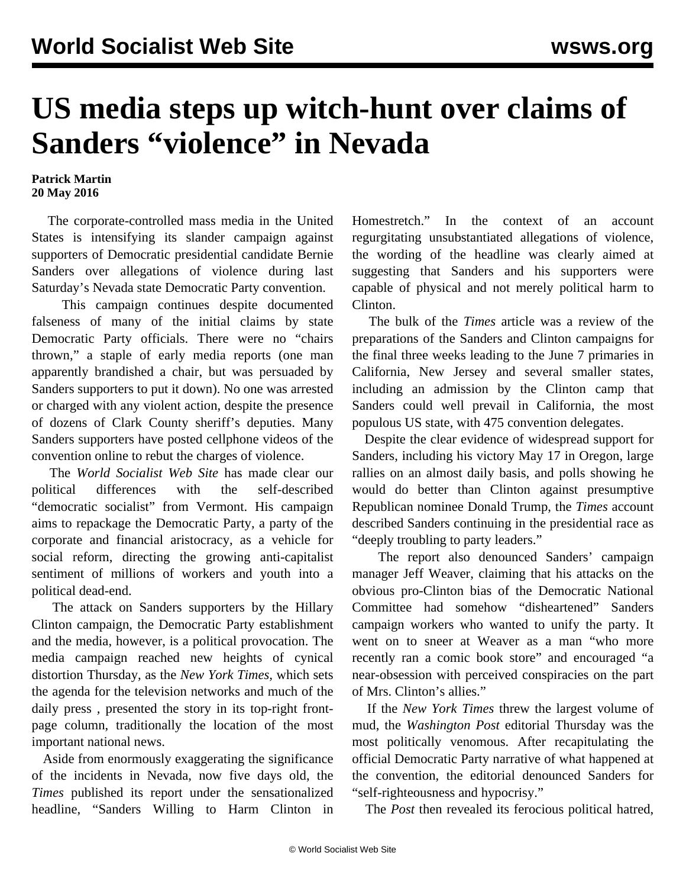## **US media steps up witch-hunt over claims of Sanders "violence" in Nevada**

## **Patrick Martin 20 May 2016**

 The corporate-controlled mass media in the United States is intensifying its slander campaign against supporters of Democratic presidential candidate Bernie Sanders over allegations of violence during last Saturday's Nevada state Democratic Party convention.

 This campaign continues despite documented falseness of many of the initial claims by state Democratic Party officials. There were no "chairs thrown," a staple of early media reports (one man apparently brandished a chair, but was persuaded by Sanders supporters to put it down). No one was arrested or charged with any violent action, despite the presence of dozens of Clark County sheriff's deputies. Many Sanders supporters have posted cellphone videos of the convention online to rebut the charges of violence.

 The *World Socialist Web Site* has made clear our political differences with the self-described "democratic socialist" from Vermont. His campaign aims to repackage the Democratic Party, a party of the corporate and financial aristocracy, as a vehicle for social reform, directing the growing anti-capitalist sentiment of millions of workers and youth into a political dead-end.

 The attack on Sanders supporters by the Hillary Clinton campaign, the Democratic Party establishment and the media, however, is a political provocation. The media campaign reached new heights of cynical distortion Thursday, as the *New York Times,* which sets the agenda for the television networks and much of the daily press *,* presented the story in its top-right frontpage column, traditionally the location of the most important national news.

 Aside from enormously exaggerating the significance of the incidents in Nevada, now five days old, the *Times* published its report under the sensationalized headline, "Sanders Willing to Harm Clinton in Homestretch." In the context of an account regurgitating unsubstantiated allegations of violence, the wording of the headline was clearly aimed at suggesting that Sanders and his supporters were capable of physical and not merely political harm to Clinton.

 The bulk of the *Times* article was a review of the preparations of the Sanders and Clinton campaigns for the final three weeks leading to the June 7 primaries in California, New Jersey and several smaller states, including an admission by the Clinton camp that Sanders could well prevail in California, the most populous US state, with 475 convention delegates.

 Despite the clear evidence of widespread support for Sanders, including his victory May 17 in Oregon, large rallies on an almost daily basis, and polls showing he would do better than Clinton against presumptive Republican nominee Donald Trump, the *Times* account described Sanders continuing in the presidential race as "deeply troubling to party leaders."

 The report also denounced Sanders' campaign manager Jeff Weaver, claiming that his attacks on the obvious pro-Clinton bias of the Democratic National Committee had somehow "disheartened" Sanders campaign workers who wanted to unify the party. It went on to sneer at Weaver as a man "who more recently ran a comic book store" and encouraged "a near-obsession with perceived conspiracies on the part of Mrs. Clinton's allies."

 If the *New York Times* threw the largest volume of mud, the *Washington Post* editorial Thursday was the most politically venomous. After recapitulating the official Democratic Party narrative of what happened at the convention, the editorial denounced Sanders for "self-righteousness and hypocrisy."

The *Post* then revealed its ferocious political hatred,